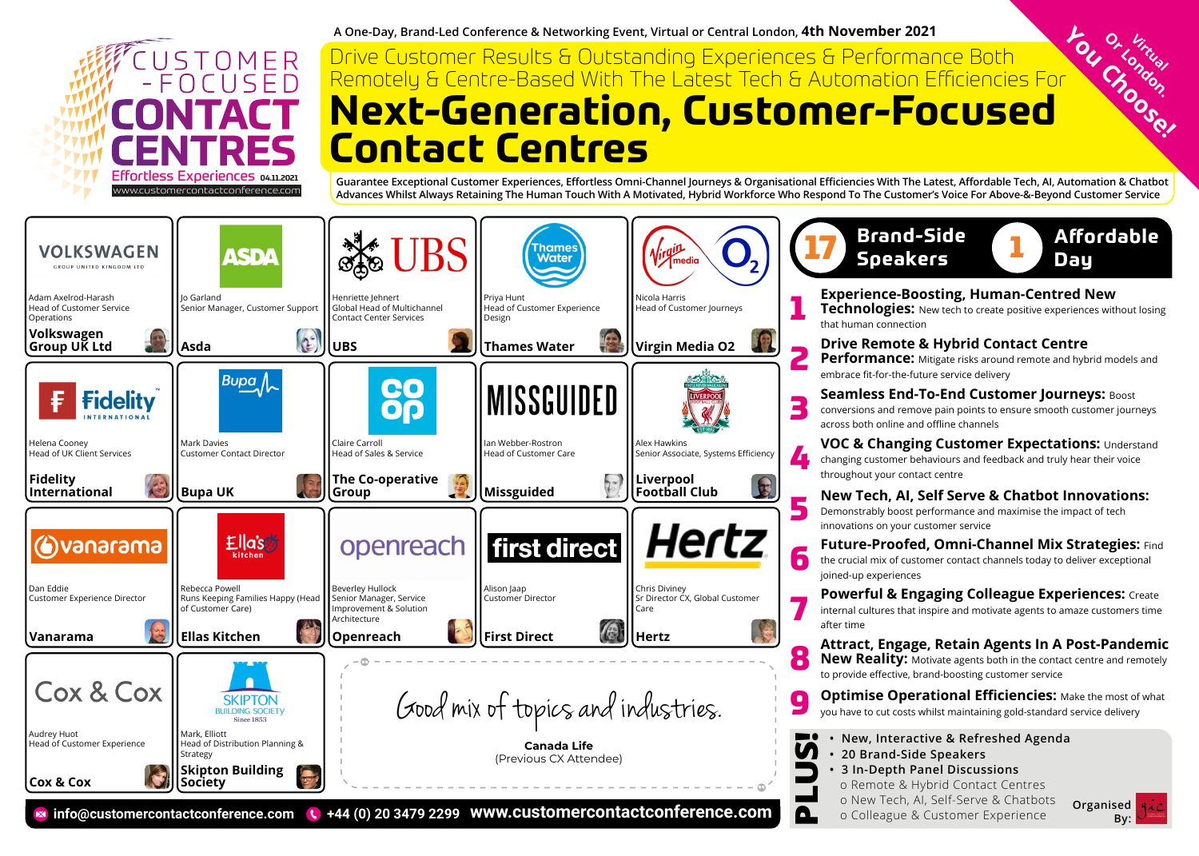

**A One-Day, Brand-Led Conference & Networking Event, Virtual or Central London, 4th November 2021**

# **You Choose! Next-Generation, Customer-Focused Contact Centres**  Drive Customer Results & Outstanding Experiences & Performance Both Remotely & Centre-Based With The Latest Tech & Automation Efficiencies For

**Guarantee Exceptional Customer Experiences, Effortless Omni-Channel Journeys & Organisational Efficiencies With The Latest, Affordable Tech, AI, Automation & Chatbot Advances Whilst Always Retaining The Human Touch With A Motivated, Hybrid Workforce Who Respond To The Customer's Voice For Above-&-Beyond Customer Service**



|    | Brand-Side<br><b>Affordable</b><br><b>Speakers</b><br>Day                                                                                                                                 |
|----|-------------------------------------------------------------------------------------------------------------------------------------------------------------------------------------------|
| 1  | <b>Experience-Boosting, Human-Centred New</b><br>Technologies: New tech to create positive experiences without losing<br>that human connection                                            |
| 2  | <b>Drive Remote &amp; Hybrid Contact Centre</b><br>Performance: Mitigate risks around remote and hybrid models and<br>embrace fit-for-the-future service delivery                         |
| 3  | Seamless End-To-End Customer Journeys: Boost<br>conversions and remove pain points to ensure smooth customer journeys<br>across both online and offline channels                          |
| 4  | <b>VOC &amp; Changing Customer Expectations: Understand</b><br>changing customer behaviours and feedback and truly hear their voice<br>throughout your contact centre                     |
| 5  | <b>New Tech, AI, Self Serve &amp; Chatbot Innovations:</b><br>Demonstrably boost performance and maximise the impact of tech<br>innovations on your customer service                      |
| 6  | Future-Proofed, Omni-Channel Mix Strategies: Find<br>the crucial mix of customer contact channels today to deliver exceptional<br>joined-up experiences                                   |
| 7  | <b>Powerful &amp; Engaging Colleague Experiences: Create</b><br>internal cultures that inspire and motivate agents to amaze customers time<br>after time                                  |
| 8  | Attract, Engage, Retain Agents In A Post-Pandemic<br><b>New Reality:</b> Motivate agents both in the contact centre and remotely<br>to provide effective, brand-boosting customer service |
| بع | <b>Optimise Operational Efficiencies:</b> Make the most of what<br>you have to cut costs whilst maintaining gold-standard service delivery                                                |
|    | New, Interactive & Refreshed Agenda<br>20 Brand-Side Speakers<br>3 In-Depth Panel Discussions<br>o Remote & Hybrid Contact Centres                                                        |

**By:**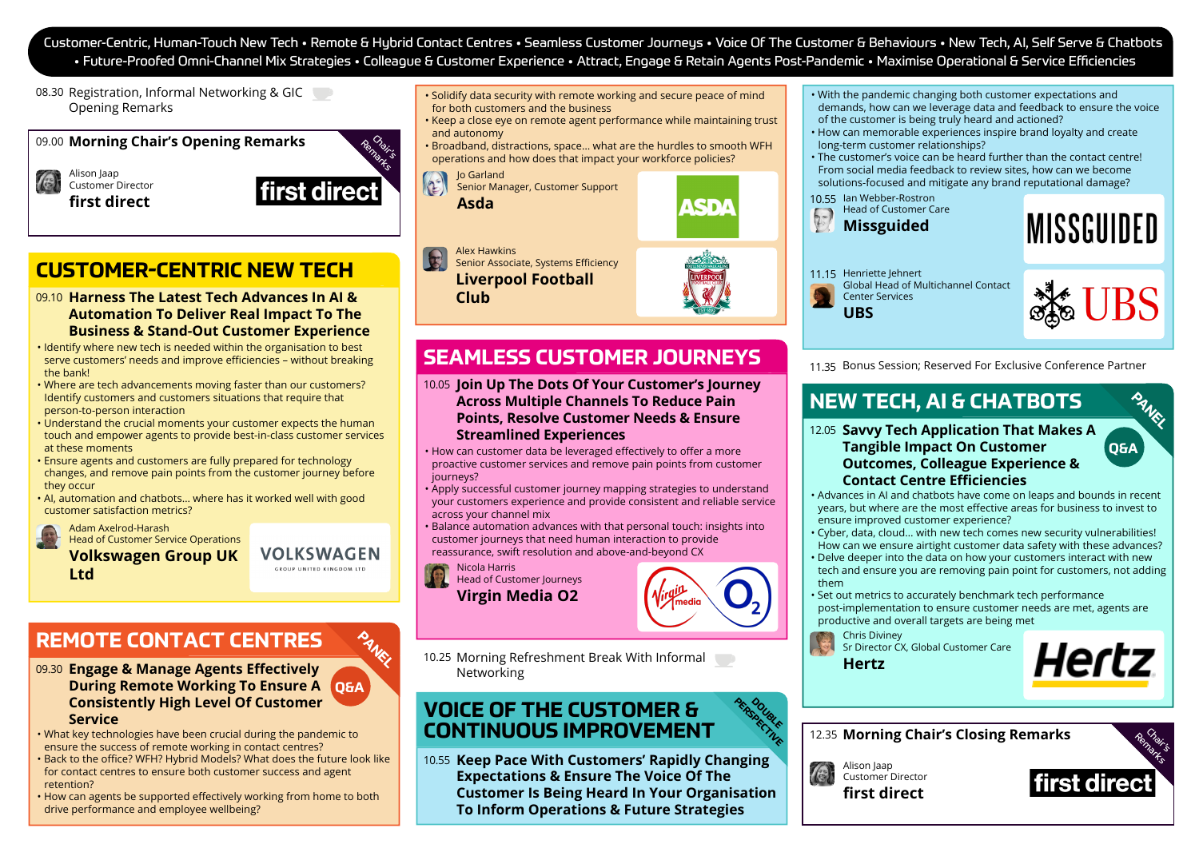Customer-Centric, Human-Touch New Tech • Remote & Hybrid Contact Centres • Seamless Customer Journeys • Voice Of The Customer & Behaviours • New Tech, AI, Self Serve & Chatbots • Future-Proofed Omni-Channel Mix Strategies • Colleague & Customer Experience • Attract, Engage & Retain Agents Post-Pandemic • Maximise Operational & Service Efficiencies

08.30 Registration, Informal Networking & GIC Opening Remarks

09.00 Morning Chair's Opening Remarks

Alison Jaap Customer Director **first direct**



# **CUSTOMER-CENTRIC NEW TECH**

- **Harness The Latest Tech Advances In AI &**  09.10 **Automation To Deliver Real Impact To The Business & Stand-Out Customer Experience**
- Identify where new tech is needed within the organisation to best serve customers' needs and improve efficiencies – without breaking the bank!
- Where are tech advancements moving faster than our customers? Identify customers and customers situations that require that person-to-person interaction
- Understand the crucial moments your customer expects the human touch and empower agents to provide best-in-class customer services at these moments
- Ensure agents and customers are fully prepared for technology changes, and remove pain points from the customer journey before they occur
- AI, automation and chatbots… where has it worked well with good customer satisfaction metrics?

Adam Axelrod-Harash Head of Customer Service Operations

**Volkswagen Group UK Ltd**

**VOLKSWAGEN** GROUP UNITED KINGDOM IT

**PANEL** 

# **REMOTE CONTACT CENTRES**

#### **Engage & Manage Agents Effectively**  09.30 **During Remote Working To Ensure A Q&A Consistently High Level Of Customer Service**

- What key technologies have been crucial during the pandemic to ensure the success of remote working in contact centres? • Back to the office? WFH? Hybrid Models? What does the future look like for contact centres to ensure both customer success and agent retention?
- How can agents be supported effectively working from home to both drive performance and employee wellbeing?
- Solidify data security with remote working and secure peace of mind for both customers and the business
- Keep a close eye on remote agent performance while maintaining trust and autonomy
- Broadband, distractions, space… what are the hurdles to smooth WFH operations and how does that impact your workforce policies?

Jo Garland

 $\left( \begin{matrix} 1 \\ 2 \end{matrix} \right)$ Senior Manager, Customer Support **Asda**



Alex Hawkins

Senior Associate, Systems Efficiency **Liverpool Football Club**

## **SEAMLESS CUSTOMER JOURNEYS**

**Join Up The Dots Of Your Customer's Journey**  10.05 **Across Multiple Channels To Reduce Pain Points, Resolve Customer Needs & Ensure Streamlined Experiences** 

- How can customer data be leveraged effectively to offer a more proactive customer services and remove pain points from customer journeys?
- Apply successful customer journey mapping strategies to understand your customers experience and provide consistent and reliable service across your channel mix
- Balance automation advances with that personal touch: insights into customer journeys that need human interaction to provide reassurance, swift resolution and above-and-beyond CX

Nicola Harris

Head of Customer Journeys **Virgin Media O2** 



**PERSPUBLE** D<sub>OUBLE</sub>

10.25 Morning Refreshment Break With Informal Networking

### **VOICE OF THE CUSTOMER & CONTINUOUS IMPROVEMENT**

10.55 Keep Pace With Customers' Rapidly Changing **Expectations & Ensure The Voice Of The Customer Is Being Heard In Your Organisation To Inform Operations & Future Strategies**

- With the pandemic changing both customer expectations and demands, how can we leverage data and feedback to ensure the voice of the customer is being truly heard and actioned?
- How can memorable experiences inspire brand loyalty and create long-term customer relationships?

• The customer's voice can be heard further than the contact centre! From social media feedback to review sites, how can we become solutions-focused and mitigate any brand reputational damage?

10.55 Ian Webber-Rostron

**UBS**





11.15 Henriette Jehnert Global Head of Multichannel Contact Center Services



**PANEL** 

**Q&A**

11.35 Bonus Session; Reserved For Exclusive Conference Partner

# **NEW TECH, AI & CHATBOTS**

- 12.05 Savvy Tech Application That Makes A **Tangible Impact On Customer Outcomes, Colleague Experience & Contact Centre Efficiencies**
- Advances in AI and chatbots have come on leaps and bounds in recent years, but where are the most effective areas for business to invest to ensure improved customer experience?
- Cyber, data, cloud… with new tech comes new security vulnerabilities! How can we ensure airtight customer data safety with these advances?
- Delve deeper into the data on how your customers interact with new tech and ensure you are removing pain point for customers, not adding them
- Set out metrics to accurately benchmark tech performance post-implementation to ensure customer needs are met, agents are productive and overall targets are being met

Chris Diviney Sr Director CX, Global Customer Care **Hertz**



12.35 Morning Chair's Closing Remarks



Customer Director **first direct**

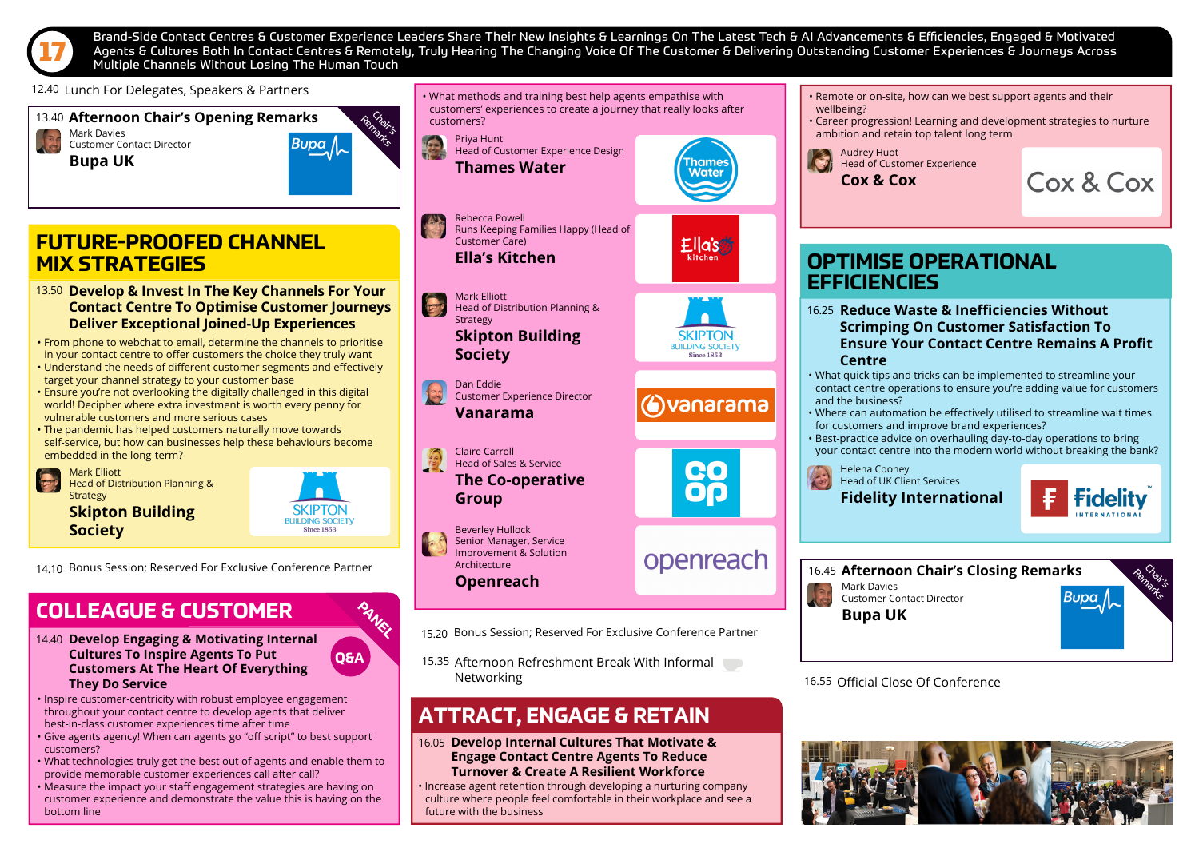

Brand-Side Contact Centres & Customer Experience Leaders Share Their New Insights & Learnings On The Latest Tech & Al Advancements & Efficiencies, Engaged & Motivated<br>Agents & Cultures Both In Contact Centres & Remotely, T Multiple Channels Without Losing The Human Touch

12.40 Lunch For Delegates, Speakers & Partners

13.40 **Afternoon Chair's Opening Remarks** Remain Mark Davies Customer Contact Director Buna **Bupa UK**

### **FUTURE-PROOFED CHANNEL MIX STRATEGIES**

- **Develop & Invest In The Key Channels For Your**  13.50 **Contact Centre To Optimise Customer Journeys Deliver Exceptional Joined-Up Experiences**
- From phone to webchat to email, determine the channels to prioritise in your contact centre to offer customers the choice they truly want
- Understand the needs of different customer segments and effectively target your channel strategy to your customer base
- Ensure you're not overlooking the digitally challenged in this digital world! Decipher where extra investment is worth every penny for vulnerable customers and more serious cases
- The pandemic has helped customers naturally move towards self-service, but how can businesses help these behaviours become embedded in the long-term?

Mark Elliott Head of Distribution Planning & **Strategy** 

**Skipton Building Society**

SKIPTON **BUILDING SOCIETY Since 1853** 

**PANEL** 

**Q&A**

14.10 Bonus Session; Reserved For Exclusive Conference Partner

### **COLLEAGUE & CUSTOMER**

- **Develop Engaging & Motivating Internal**  14.40 **Cultures To Inspire Agents To Put Customers At The Heart Of Everything They Do Service**
- Inspire customer-centricity with robust employee engagement throughout your contact centre to develop agents that deliver best-in-class customer experiences time after time
- Give agents agency! When can agents go "off script" to best support customers?
- What technologies truly get the best out of agents and enable them to provide memorable customer experiences call after call?
- Measure the impact your staff engagement strategies are having on customer experience and demonstrate the value this is having on the bottom line

Priya Hunt • What methods and training best help agents empathise with customers' experiences to create a journey that really looks after customers?

Head of Customer Experience Design **Thames Water**

Rebecca Powell

Dan Eddie

**Society**

Mark Elliott

Strategy

**Vanarama**

Claire Carroll Head of Sales & Service **The Co-operative** 

**Group**

Beverley Hullock Senior Manager, Service Improvement & Solution

Architecture

Customer Experience Director

Head of Distribution Planning &

**Skipton Building** 





hame: Water

vanarama openreach

- **Openreach**
- 15.20 Bonus Session; Reserved For Exclusive Conference Partner
- 15.35 Afternoon Refreshment Break With Informal Networking

### **ATTRACT, ENGAGE & RETAIN**

#### **Develop Internal Cultures That Motivate &**  16.05 **Engage Contact Centre Agents To Reduce Turnover & Create A Resilient Workforce**

• Increase agent retention through developing a nurturing company culture where people feel comfortable in their workplace and see a future with the business

- Remote or on-site, how can we best support agents and their wellbeing?
- Career progression! Learning and development strategies to nurture ambition and retain top talent long term

Audrey Huot Head of Customer Experience **Cox & Cox** 



### **OPTIMISE OPERATIONAL EFFICIENCIES**

- **Reduce Waste & Inefficiencies Without**  16.25 **Scrimping On Customer Satisfaction To Ensure Your Contact Centre Remains A Profit Centre**
- What quick tips and tricks can be implemented to streamline your contact centre operations to ensure you're adding value for customers and the business?
- Where can automation be effectively utilised to streamline wait times for customers and improve brand experiences?
- Best-practice advice on overhauling day-to-day operations to bring your contact centre into the modern world without breaking the bank?

Helena Cooney Head of UK Client Services **Fidelity International**



Mark Davies **16.45 Afternoon Chair's Closing Remarks** 

> Customer Contact Director **Bupa UK**



16.55 Official Close Of Conference